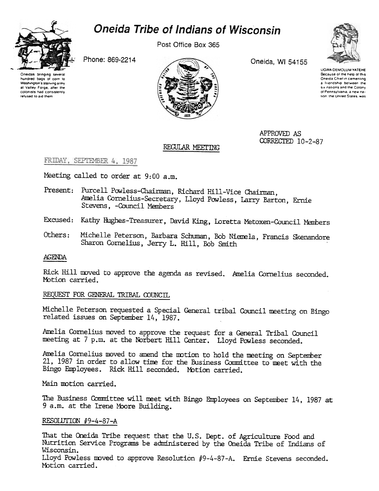

# **Oneida Tribe of Indians of Wisconsin**

Post Office Box 365

Phone: 869-2214





Oneida, WI 54155



**UGWA DEMOLUM YATEHE** Because of the help of this Oneida Chief in cementing a Iriendship between the six nations and the Colony of Pennsylvania, a new nation, the United States, was

APPROVED AS CORRECTED 10-2-87

#### REGULAR MEETING

FRIDAY, SEPTEMBER 4, 1987

Meeting called to order at 9:00 a.m.

- Present: Purcell Powless-Chairman, Richard Hill-Vice Chairman, Amelia Cornelius-Secretary, Lloyd Powless, Larry Barton, Ernie Stevens, -Council Members
- Excused: Kathy Hughes-Treasurer, David King, Loretta Metoxen-Council Members
- Others: Michelle Peterson, Barbara Schuman, Bob Niemela, Francis Skenandore Sharon Cornelius, Jerry L. Hill, Bob Smith

#### **AGENDA**

Rick Hill moved to approve the agenda as revised. Amelia Cornelius seconded. Motion carried.

#### REQUEST FOR GENERAL TRIBAL COUNCIL

Michelle Peterson requested a Special General tribal Council meeting on Bingo related issues on September 14, 1987.

Amelia Cornelius moved to approve the request for a General Tribal Council meeting at 7 p.m. at the Norbert Hill Center. Lloyd Powless seconded.

Amelia Cornelius moved to amend the motion to hold the meeting on September 21, 1987 in order to allow time for the Business Committee to meet with the Bingo Employees. Rick Hill seconded. Motion carried.

Main motion carried.

The Business Committee will meet with Bingo Employees on September 14, 1987 at 9 a.m. at the Irene Moore Building.

### RESOLUTION #9-4-87-A

That the Oneida Tribe request that the U.S. Dept. of Agriculture Food and Nutrition Service Programs be administered by the Oneida Tribe of Indians of Wisconsin. Lloyd Powless moved to approve Resolution #9-4-87-A. Ernie Stevens seconded. Motion carried.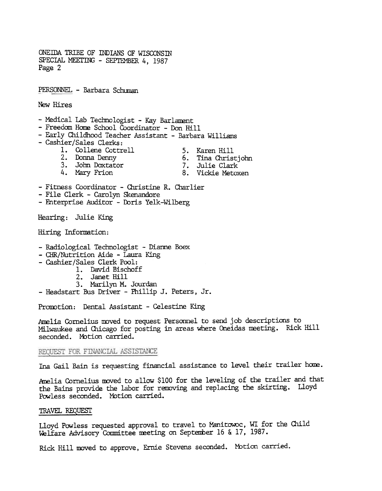ONEIDA TRIBE OF INDIANS OF WISCONSIN SPECIAL MEETING - SEPTEMBER 4, 1987 Page 2

PERSONNEL - Barbara Schuman

New Hires

- Medical Lab Technologist - Kay Barlament

- Freedom Home School Coordinator Don Hill
- Early Childhood Teacher Assistant Barbara Williams
- Cashier/Sales Clerks:
	- 1. Collene Cottrell
- 5. Karen Hill
- 2. Donna Denny
- 3. John Doxtator 4. Mary Frion
- 6. Tina Christjohn
- 7. Julie Clark
- 8. Vickie Metoxen
- Fitness Coordinator Christine R. Charlier
- File Clerk Carolyn Skenandore
- Enterprise Auditor Doris Yelk-Wilberg

Hearing: Julie King

Hiring Information:

- Radiological Technologist Dianne Boex
- CHR/Nutrition Aide Laura King
- Cashier/Sales Clerk Pool:
	- 1. David Bischoff
	- 2. Janet Hill
	- 3. Marilyn M. Jourdan
- Headstart Bus Driver Phillip J. Peters, Jr.

Promotion: Dental Assistant - Celestine King

Amelia Cornelius moved to request Personnel to send job descriptions to Milwaukee and Chicago for posting in areas where Oneidas meeting. Rick Hill seconded. Motion carried.

REOUEST FOR FINANCIAL ASSISTANCE

Ina Gail Bain is requesting financial assistance to level their trailer home.

Amelia Cornelius moved to allow \$100 for the leveling of the trailer and that the Bains provide the labor for removing and replacing the skirting. Lloyd Powless seconded. Motion carried.

#### TRAVEL REQUEST

Lloyd Powless requested approval to travel to Manitowoc, WI for the Child Welfare Advisory Committee meeting on September 16 & 17, 1987.

Rick Hill moved to approve, Ernie Stevens seconded. Motion carried.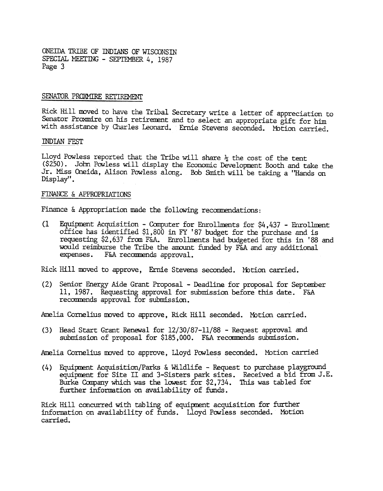ONEffiA TRIBE OF INDIANS OF WISCONSIN SPECIAL MEETING - SEPTEMBER 4, 1987 Page 3

#### SENATOR PROXMIRE RETIREMENT

Rick Hill moved to have the Tribal Secretary write a letter of appreciation to Senator Proxmire on his retirement and to select an appropriate gift for him with assistance by Charles Leonard. Ernie Stevens seconded. Motion carried.

#### INDIAN FEST

Lloyd Powless reported that the Tribe will share  $\frac{1}{2}$  the cost of the tent (\$250). John Powless will display the Economic Development Booth and take the Jr. Miss Oneida, Alison Powless along. Bob Smith will be taking a "Hands on Display" .

#### FINANCE & APPROPRIATIONS

Finance & Appropriation made the following recommendations:

(1 Equipment Acquisition - Computer for Enrollments for  $$4,437$  - Enrollment office has identified \$1,800 in FY '87 budget for the purchase and is requesting \$2,637 from F&A. Enrollments had budgeted for this in '88 and would reimburse the Tribe the amount funded by F&A and any additional expenses. F&A recommends approval.

Rick Hill moved to approve, Ernie Stevens seconded. Motion carried.

(2) Senior Energy Aide Grant Proposal -Deadline for proposal for September 11, 1987. Requesting approval for submission before this date. F&A recommends approval for submission.

Amelia Cornelius moved to approve, Rick Hill seconded. Motion carried.

(3) Head Start Grant Renewal for  $12/30/87$ -11/88 - Request approval and submission of proposal for \$185,000. F&A recommends submission.

Amelia Cornelius moved to approve, Lloyd Powless seconded. Motion carried

(4) Equipment Acquisition/Parks & Wildlife - Request to purchase playgroun equipment for Site II and 3-Sisters park sites. Received a bid from J.E. Burke Company which was the lowest for \$2,734. This was tabled for further information on availability of funds.

Rick Hill concurred with tabling of equipment acquisition for further information on availability of funds. Lloyd Powless seconded. MOtion carried.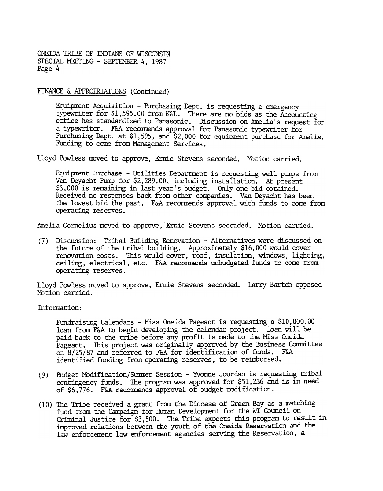ONEIDA TRIBE OF INDIANS OF WISCONSIN SPECIAL MEETING - SEPTEMBER 4, 1987 Page 4

#### FrnANCE & APPROPRIATIONS (Continued)

Equipment Acquisition - Purchasing Dept. is requesting a emergency typewriter for \$1,595.00 from K&L. There are no bids as the Accounting office has standardized to Panasonic. Discussion on Amelia's request for a typewriter. F&A recamends approval for Panasonic typewriter for Purchasing Dept. at \$1,595, and \$2, 000 for equipment purchase for Amelia. Funding to come from Management Services.

Lloyd Powless moved to approve, Ernie Stevens seconded. Motion carried.

Equipment Purchase - Utilities Department is requesting well pumps from Van Deyadht Pump for \$2,289.00, including installation. At present \$3,000 is remaining in last year's budget. Only one bid obtained. Received no responses back from other companies. Van Deyacht has been the lowest bid the past. F&A recommends approval with funds to come from operating reserves.

Amelia Cornelius moved to approve, Ernie Stevens seconded. Motion carried.

(7) Discussion: Tribal Building Renovation - Alternatives were discussed on the future of the tribal building. Approximately \$16,000 would cover renovation costs. This would cover, roof, insulation, windows, lighting, ceiling, electrical, etc. F&A recommends unbudgeted funds to came fram operating reserves.

Lloyd Powless moved to approve, Ernie Stevens seconded. Larry Barton opposed Motion carried.

Information:

FUndraising Calendars -Miss Oneida Pageant is requesting a \$10,000.00 loan from F&A to begin developing the calendar project. loan will be paid back to the tribe before any profit is made to the Miss Oneida Pageant. This project was originally approved by the Business Comnittee on 8/25/87 and referred to F&A for identification of funds. F&A identified funding from operating reserves, to be reimbursed.

- (9) Budget Modification/Summer Session Yvonne Jourdan is requesting trib contingency funds. The program was approved for \$51,236 and is in need of \$6,776. F&A recommends approval of budget modification.
- (10) The Tribe received a grant £rom the Diocese of Green Bay as a matching fund from the Campaign for Human Development for the WI Council on Criminal Justice for \$3,500. The Tribe expects this program to result in improved relations between the youth of the Oneida Reservation and the law enforcement law enforcement agencies serving the Reservation, a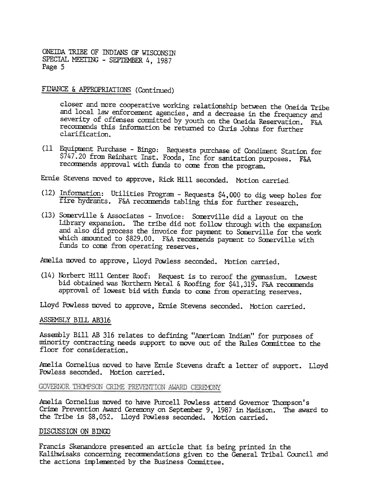ONEIDA 1RIBE OF INDIANS OF WISCONSm SPECIAL MEETING - SEPTEMBER 4, 1987 Page 5

## FINANCE & APPROPRIATIONS (Continued)

closer and more cooperative working relationship between the Oneida Tribe and local law enforcement agencies, and a decrease in the frequency and severity of offenses committed by youth on the Oneida Reservation. F&A recommends this information be returned to Chris Johns for further clarification.

(11 Equipment Purchase - Bingo: Requests purchase of Condiment Station for \$747.20 from Reinhart InSt. Foods, Inc for sanitation purposes. F&A recommends approval with funds to come from the program.

Ernie Stevens moved to approve, Rick Hill seconded. Motion carried.

- (12) Information: Utilities Program Requests \$4,000 to dig weep holes fo fire hydrants. F&A recommends tabling this for further research
- (13) Somerville & Associates -Invoice: Somerville did a layout on the Library expansion. The tribe did not follow through with the expansion and also did process the invoice for payment to Somerville for the work which amounted to \$829.00. F&A recommends payment to Somerville with funds to come from operating reserves.

Amelia moved to approve, Lloyd Powless seconded. Motion carried.

(14) Norbert Hill Center Roof: Request is to reroof the gymnasium. Lowest bid obtained was Northern Metal & Roofing for \$41,319. F&A recommends approval of lowest bid with funds to come from operating reserves.

Lloyd Powless moved to approve, Ernie Stevens seconded. Motion carried.

#### ASSEMBLY BIIL AB316

Assembly Bill AB 316 relates to defining "American Indian" for purposes of minority contracting needs support to move out of the Rules Committee to the floor for consideration.

Amelia Cornelius moved to have Ernie Stevens draft a letter of support. Lloyd Powless seconded. Motion carried.

## GOVERNOR THOMPSON CRIME PREVENTION AWARD CEREMONY

Amelia Cornelius moved to have Purcell Powless attend Governor Thompson's Crime Prevention Award Ceremony on September 9, 1987 in Madison. The award to the Tribe is \$8,052. Lloyd Powless seconded. Motion carried.

#### DISCUSSION ON BINGO

Francis Skenandore presented an article that is being printed in the Kalihwisaks concerning recommendations given to the General Tribal Council and the actions implemented by the Business Committee.